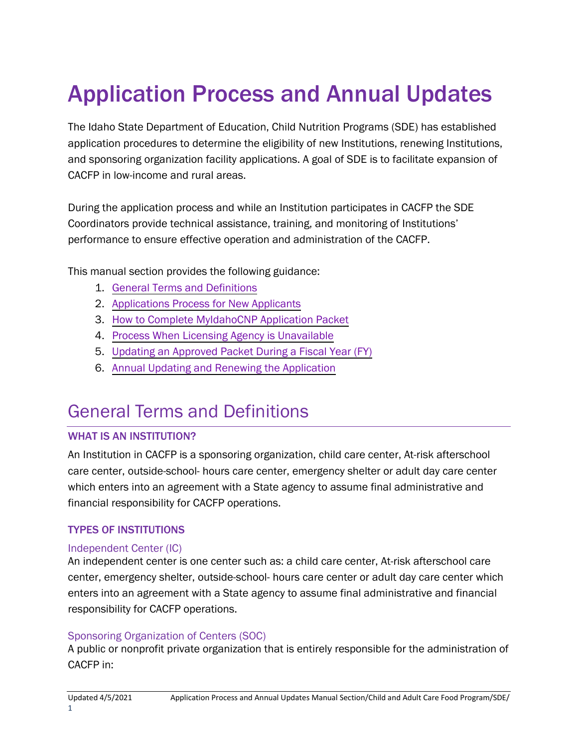# Application Process and Annual Updates

The Idaho State Department of Education, Child Nutrition Programs (SDE) has established application procedures to determine the eligibility of new Institutions, renewing Institutions, and sponsoring organization facility applications. A goal of SDE is to facilitate expansion of CACFP in low-income and rural areas.

During the application process and while an Institution participates in CACFP the SDE Coordinators provide technical assistance, training, and monitoring of Institutions' performance to ensure effective operation and administration of the CACFP.

This manual section provides the following guidance:

- 1. General Terms and Definitions
- 2. [Applications Process for](#page-2-0) New Applicants
- 3. How to Complete [MyIdahoCNP Application Packet](#page-7-0)
- 4. [Process When Licensing Agency is Unavailable](#page-29-0)
- 5. Updating [an Approved Packet](#page-31-0) During a Fiscal Year (FY)
- 6. [Annual Updating](#page-31-0) and Renewing the Application

## General Terms and Definitions

#### WHAT IS AN INSTITUTION?

An Institution in CACFP is a sponsoring organization, child care center, At-risk afterschool care center, outside-school- hours care center, emergency shelter or adult day care center which enters into an agreement with a State agency to assume final administrative and financial responsibility for CACFP operations.

#### TYPES OF INSTITUTIONS

#### Independent Center (IC)

An independent center is one center such as: a child care center, At-risk afterschool care center, emergency shelter, outside-school- hours care center or adult day care center which enters into an agreement with a State agency to assume final administrative and financial responsibility for CACFP operations.

#### Sponsoring Organization of Centers (SOC)

A public or nonprofit private organization that is entirely responsible for the administration of CACFP in: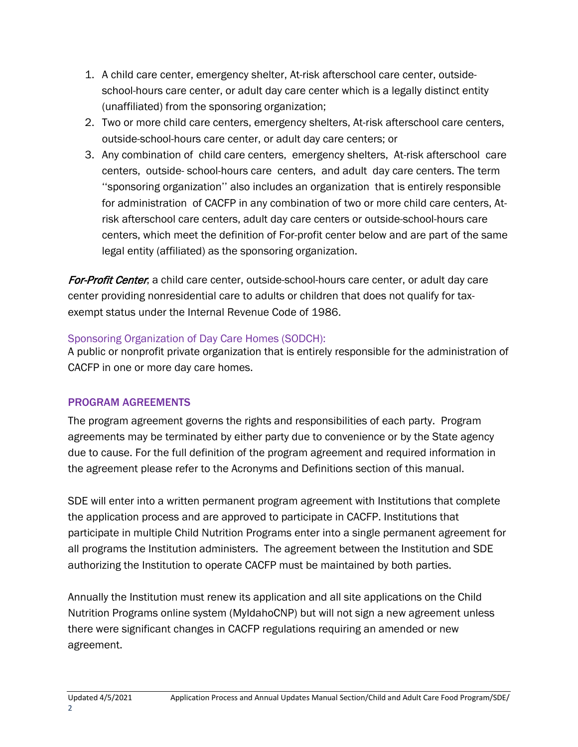- 1. A child care center, emergency shelter, At-risk afterschool care center, outsideschool-hours care center, or adult day care center which is a legally distinct entity (unaffiliated) from the sponsoring organization;
- 2. Two or more child care centers, emergency shelters, At-risk afterschool care centers, outside-school-hours care center, or adult day care centers; or
- 3. Any combination of child care centers, emergency shelters, At-risk afterschool care centers, outside- school-hours care centers, and adult day care centers. The term ''sponsoring organization'' also includes an organization that is entirely responsible for administration of CACFP in any combination of two or more child care centers, Atrisk afterschool care centers, adult day care centers or outside-school-hours care centers, which meet the definition of For-profit center below and are part of the same legal entity (affiliated) as the sponsoring organization.

For-Profit Center, a child care center, outside-school-hours care center, or adult day care center providing nonresidential care to adults or children that does not qualify for taxexempt status under the Internal Revenue Code of 1986.

#### Sponsoring Organization of Day Care Homes (SODCH):

A public or nonprofit private organization that is entirely responsible for the administration of CACFP in one or more day care homes.

### PROGRAM AGREEMENTS

The program agreement governs the rights and responsibilities of each party. Program agreements may be terminated by either party due to convenience or by the State agency due to cause. For the full definition of the program agreement and required information in the agreement please refer to the Acronyms and Definitions section of this manual.

SDE will enter into a written permanent program agreement with Institutions that complete the application process and are approved to participate in CACFP. Institutions that participate in multiple Child Nutrition Programs enter into a single permanent agreement for all programs the Institution administers. The agreement between the Institution and SDE authorizing the Institution to operate CACFP must be maintained by both parties.

Annually the Institution must renew its application and all site applications on the Child Nutrition Programs online system (MyIdahoCNP) but will not sign a new agreement unless there were significant changes in CACFP regulations requiring an amended or new agreement.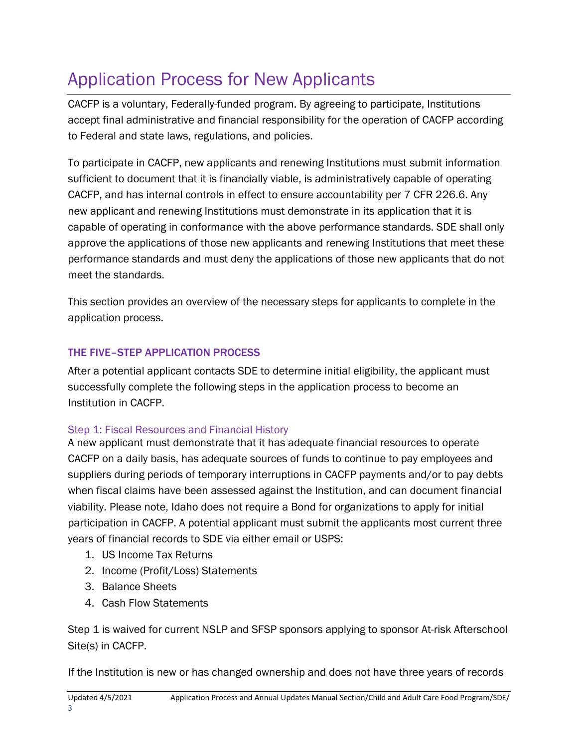## <span id="page-2-0"></span>Application Process for New Applicants

CACFP is a voluntary, Federally-funded program. By agreeing to participate, Institutions accept final administrative and financial responsibility for the operation of CACFP according to Federal and state laws, regulations, and policies.

To participate in CACFP, new applicants and renewing Institutions must submit information sufficient to document that it is financially viable, is administratively capable of operating CACFP, and has internal controls in effect to ensure accountability per 7 CFR 226.6. Any new applicant and renewing Institutions must demonstrate in its application that it is capable of operating in conformance with the above performance standards. SDE shall only approve the applications of those new applicants and renewing Institutions that meet these performance standards and must deny the applications of those new applicants that do not meet the standards.

This section provides an overview of the necessary steps for applicants to complete in the application process.

### THE FIVE–STEP APPLICATION PROCESS

After a potential applicant contacts SDE to determine initial eligibility, the applicant must successfully complete the following steps in the application process to become an Institution in CACFP.

### Step 1: Fiscal Resources and Financial History

A new applicant must demonstrate that it has adequate financial resources to operate CACFP on a daily basis, has adequate sources of funds to continue to pay employees and suppliers during periods of temporary interruptions in CACFP payments and/or to pay debts when fiscal claims have been assessed against the Institution, and can document financial viability. Please note, Idaho does not require a Bond for organizations to apply for initial participation in CACFP. A potential applicant must submit the applicants most current three years of financial records to SDE via either email or USPS:

- 1. US Income Tax Returns
- 2. Income (Profit/Loss) Statements
- 3. Balance Sheets
- 4. Cash Flow Statements

Step 1 is waived for current NSLP and SFSP sponsors applying to sponsor At-risk Afterschool Site(s) in CACFP.

If the Institution is new or has changed ownership and does not have three years of records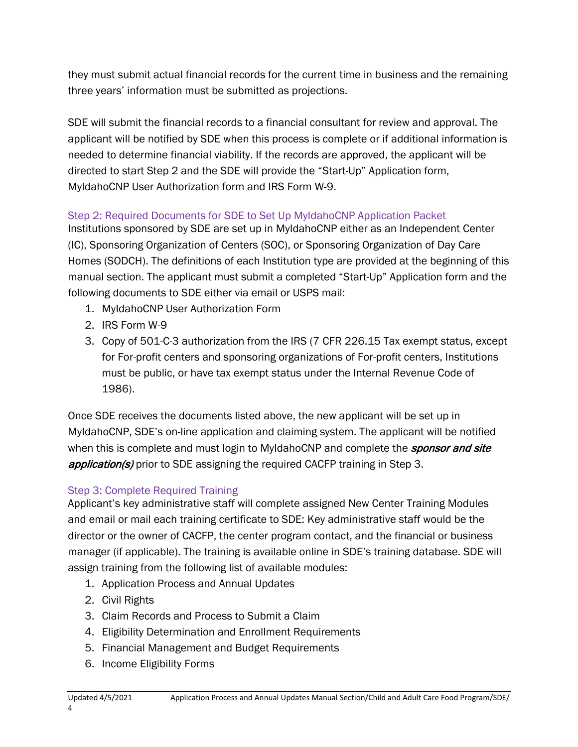they must submit actual financial records for the current time in business and the remaining three years' information must be submitted as projections.

SDE will submit the financial records to a financial consultant for review and approval. The applicant will be notified by SDE when this process is complete or if additional information is needed to determine financial viability. If the records are approved, the applicant will be directed to start Step 2 and the SDE will provide the "Start-Up" Application form, MyIdahoCNP User Authorization form and IRS Form W-9.

### Step 2: Required Documents for SDE to Set Up MyIdahoCNP Application Packet

Institutions sponsored by SDE are set up in MyIdahoCNP either as an Independent Center (IC), Sponsoring Organization of Centers (SOC), or Sponsoring Organization of Day Care Homes (SODCH). The definitions of each Institution type are provided at the beginning of this manual section. The applicant must submit a completed "Start-Up" Application form and the following documents to SDE either via email or USPS mail:

- 1. MyIdahoCNP User Authorization Form
- 2. IRS Form W-9
- 3. Copy of 501-C-3 authorization from the IRS (7 CFR 226.15 Tax exempt status, except for For-profit centers and sponsoring organizations of For-profit centers, Institutions must be public, or have tax exempt status under the Internal Revenue Code of 1986).

Once SDE receives the documents listed above, the new applicant will be set up in MyIdahoCNP, SDE's on-line application and claiming system. The applicant will be notified when this is complete and must login to MyIdahoCNP and complete the *sponsor and site* **application(s)** prior to SDE assigning the required CACFP training in Step 3.

### Step 3: Complete Required Training

Applicant's key administrative staff will complete assigned New Center Training Modules and email or mail each training certificate to SDE: Key administrative staff would be the director or the owner of CACFP, the center program contact, and the financial or business manager (if applicable). The training is available online in SDE's training database. SDE will assign training from the following list of available modules:

- 1. Application Process and Annual Updates
- 2. Civil Rights
- 3. Claim Records and Process to Submit a Claim
- 4. Eligibility Determination and Enrollment Requirements
- 5. Financial Management and Budget Requirements
- 6. Income Eligibility Forms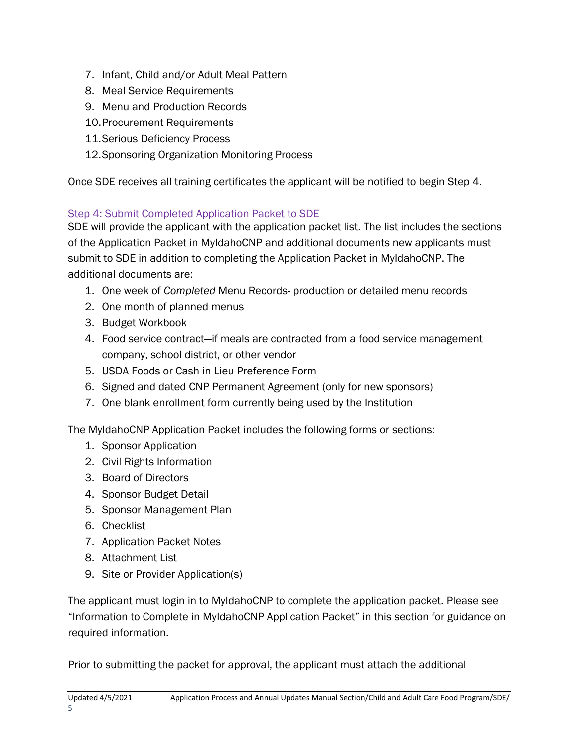- 7. Infant, Child and/or Adult Meal Pattern
- 8. Meal Service Requirements
- 9. Menu and Production Records
- 10.Procurement Requirements
- 11.Serious Deficiency Process
- 12.Sponsoring Organization Monitoring Process

Once SDE receives all training certificates the applicant will be notified to begin Step 4.

## Step 4: Submit Completed Application Packet to SDE

SDE will provide the applicant with the application packet list. The list includes the sections of the Application Packet in MyIdahoCNP and additional documents new applicants must submit to SDE in addition to completing the Application Packet in MyIdahoCNP. The additional documents are:

- 1. One week of *Completed* Menu Records- production or detailed menu records
- 2. One month of planned menus
- 3. Budget Workbook
- 4. Food service contract—if meals are contracted from a food service management company, school district, or other vendor
- 5. USDA Foods or Cash in Lieu Preference Form
- 6. Signed and dated CNP Permanent Agreement (only for new sponsors)
- 7. One blank enrollment form currently being used by the Institution

The MyIdahoCNP Application Packet includes the following forms or sections:

- 1. Sponsor Application
- 2. Civil Rights Information
- 3. Board of Directors
- 4. Sponsor Budget Detail
- 5. Sponsor Management Plan
- 6. Checklist
- 7. Application Packet Notes
- 8. Attachment List
- 9. Site or Provider Application(s)

The applicant must login in to MyIdahoCNP to complete the application packet. Please see "Information to Complete in MyIdahoCNP Application Packet" in this section for guidance on required information.

Prior to submitting the packet for approval, the applicant must attach the additional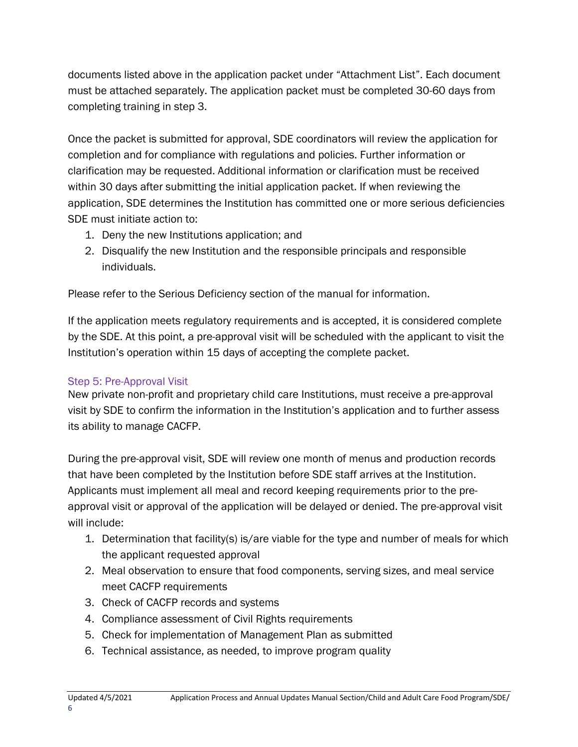documents listed above in the application packet under "Attachment List". Each document must be attached separately. The application packet must be completed 30-60 days from completing training in step 3.

Once the packet is submitted for approval, SDE coordinators will review the application for completion and for compliance with regulations and policies. Further information or clarification may be requested. Additional information or clarification must be received within 30 days after submitting the initial application packet. If when reviewing the application, SDE determines the Institution has committed one or more serious deficiencies SDE must initiate action to:

- 1. Deny the new Institutions application; and
- 2. Disqualify the new Institution and the responsible principals and responsible individuals.

Please refer to the Serious Deficiency section of the manual for information.

If the application meets regulatory requirements and is accepted, it is considered complete by the SDE. At this point, a pre-approval visit will be scheduled with the applicant to visit the Institution's operation within 15 days of accepting the complete packet.

### Step 5: Pre-Approval Visit

New private non-profit and proprietary child care Institutions, must receive a pre-approval visit by SDE to confirm the information in the Institution's application and to further assess its ability to manage CACFP.

During the pre-approval visit, SDE will review one month of menus and production records that have been completed by the Institution before SDE staff arrives at the Institution. Applicants must implement all meal and record keeping requirements prior to the preapproval visit or approval of the application will be delayed or denied. The pre-approval visit will include:

- 1. Determination that facility(s) is/are viable for the type and number of meals for which the applicant requested approval
- 2. Meal observation to ensure that food components, serving sizes, and meal service meet CACFP requirements
- 3. Check of CACFP records and systems
- 4. Compliance assessment of Civil Rights requirements
- 5. Check for implementation of Management Plan as submitted
- 6. Technical assistance, as needed, to improve program quality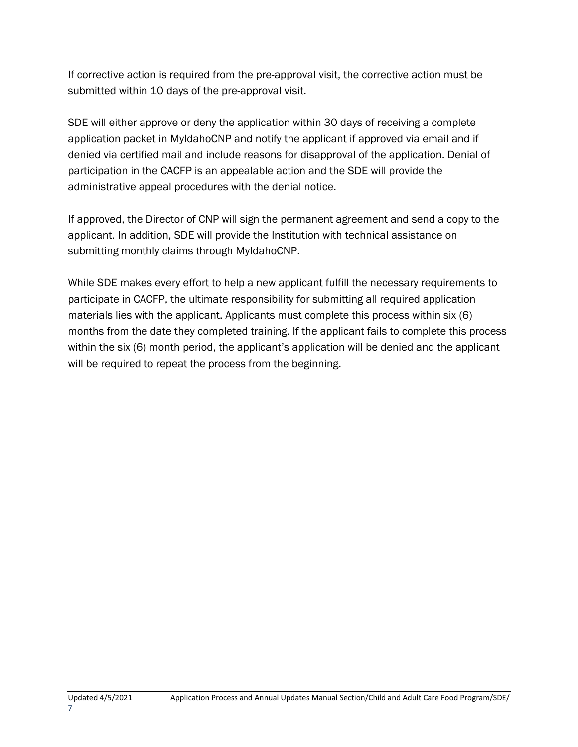If corrective action is required from the pre-approval visit, the corrective action must be submitted within 10 days of the pre-approval visit.

SDE will either approve or deny the application within 30 days of receiving a complete application packet in MyIdahoCNP and notify the applicant if approved via email and if denied via certified mail and include reasons for disapproval of the application. Denial of participation in the CACFP is an appealable action and the SDE will provide the administrative appeal procedures with the denial notice.

If approved, the Director of CNP will sign the permanent agreement and send a copy to the applicant. In addition, SDE will provide the Institution with technical assistance on submitting monthly claims through MyIdahoCNP.

While SDE makes every effort to help a new applicant fulfill the necessary requirements to participate in CACFP, the ultimate responsibility for submitting all required application materials lies with the applicant. Applicants must complete this process within six (6) months from the date they completed training. If the applicant fails to complete this process within the six (6) month period, the applicant's application will be denied and the applicant will be required to repeat the process from the beginning.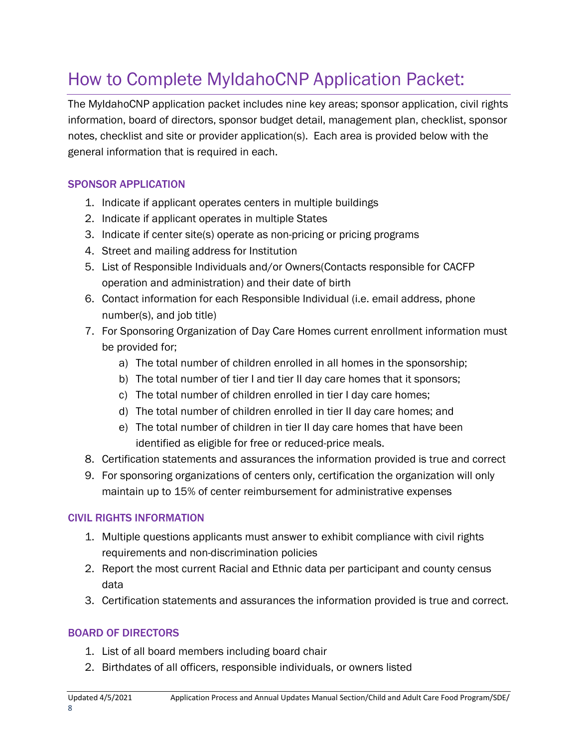## <span id="page-7-0"></span>How to Complete MyIdahoCNP Application Packet:

The MyIdahoCNP application packet includes nine key areas; sponsor application, civil rights information, board of directors, sponsor budget detail, management plan, checklist, sponsor notes, checklist and site or provider application(s). Each area is provided below with the general information that is required in each.

### SPONSOR APPLICATION

- 1. Indicate if applicant operates centers in multiple buildings
- 2. Indicate if applicant operates in multiple States
- 3. Indicate if center site(s) operate as non-pricing or pricing programs
- 4. Street and mailing address for Institution
- 5. List of Responsible Individuals and/or Owners(Contacts responsible for CACFP operation and administration) and their date of birth
- 6. Contact information for each Responsible Individual (i.e. email address, phone number(s), and job title)
- 7. For Sponsoring Organization of Day Care Homes current enrollment information must be provided for;
	- a) The total number of children enrolled in all homes in the sponsorship;
	- b) The total number of tier I and tier II day care homes that it sponsors;
	- c) The total number of children enrolled in tier I day care homes;
	- d) The total number of children enrolled in tier II day care homes; and
	- e) The total number of children in tier II day care homes that have been identified as eligible for free or reduced-price meals.
- 8. Certification statements and assurances the information provided is true and correct
- 9. For sponsoring organizations of centers only, certification the organization will only maintain up to 15% of center reimbursement for administrative expenses

#### CIVIL RIGHTS INFORMATION

- 1. Multiple questions applicants must answer to exhibit compliance with civil rights requirements and non-discrimination policies
- 2. Report the most current Racial and Ethnic data per participant and county census data
- 3. Certification statements and assurances the information provided is true and correct.

### BOARD OF DIRECTORS

- 1. List of all board members including board chair
- 2. Birthdates of all officers, responsible individuals, or owners listed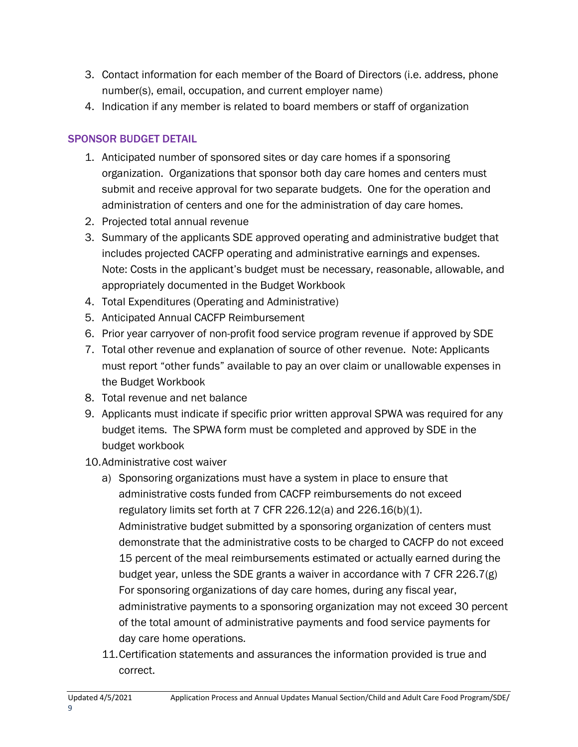- 3. Contact information for each member of the Board of Directors (i.e. address, phone number(s), email, occupation, and current employer name)
- 4. Indication if any member is related to board members or staff of organization

### SPONSOR BUDGET DETAIL

- 1. Anticipated number of sponsored sites or day care homes if a sponsoring organization. Organizations that sponsor both day care homes and centers must submit and receive approval for two separate budgets. One for the operation and administration of centers and one for the administration of day care homes.
- 2. Projected total annual revenue
- 3. Summary of the applicants SDE approved operating and administrative budget that includes projected CACFP operating and administrative earnings and expenses. Note: Costs in the applicant's budget must be necessary, reasonable, allowable, and appropriately documented in the Budget Workbook
- 4. Total Expenditures (Operating and Administrative)
- 5. Anticipated Annual CACFP Reimbursement
- 6. Prior year carryover of non-profit food service program revenue if approved by SDE
- 7. Total other revenue and explanation of source of other revenue. Note: Applicants must report "other funds" available to pay an over claim or unallowable expenses in the Budget Workbook
- 8. Total revenue and net balance
- 9. Applicants must indicate if specific prior written approval SPWA was required for any budget items. The SPWA form must be completed and approved by SDE in the budget workbook
- 10.Administrative cost waiver
	- a) Sponsoring organizations must have a system in place to ensure that administrative costs funded from CACFP reimbursements do not exceed regulatory limits set forth at 7 CFR 226.12(a) and 226.16(b)(1). Administrative budget submitted by a sponsoring organization of centers must demonstrate that the administrative costs to be charged to CACFP do not exceed 15 percent of the meal reimbursements estimated or actually earned during the budget year, unless the SDE grants a waiver in accordance with 7 CFR 226.7(g) For sponsoring organizations of day care homes, during any fiscal year, administrative payments to a sponsoring organization may not exceed 30 percent of the total amount of administrative payments and food service payments for day care home operations.
	- 11.Certification statements and assurances the information provided is true and correct.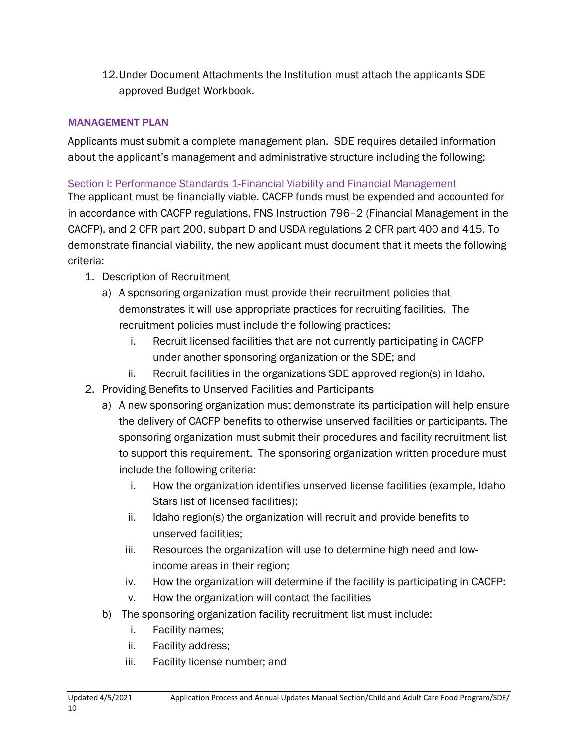12.Under Document Attachments the Institution must attach the applicants SDE approved Budget Workbook.

#### MANAGEMENT PLAN

Applicants must submit a complete management plan. SDE requires detailed information about the applicant's management and administrative structure including the following:

#### Section I: Performance Standards 1-Financial Viability and Financial Management

The applicant must be financially viable. CACFP funds must be expended and accounted for in accordance with CACFP regulations, FNS Instruction 796–2 (Financial Management in the CACFP), and 2 CFR part 200, subpart D and USDA regulations 2 CFR part 400 and 415. To demonstrate financial viability, the new applicant must document that it meets the following criteria:

- 1. Description of Recruitment
	- a) A sponsoring organization must provide their recruitment policies that demonstrates it will use appropriate practices for recruiting facilities. The recruitment policies must include the following practices:
		- i. Recruit licensed facilities that are not currently participating in CACFP under another sponsoring organization or the SDE; and
		- ii. Recruit facilities in the organizations SDE approved region(s) in Idaho.
- 2. Providing Benefits to Unserved Facilities and Participants
	- a) A new sponsoring organization must demonstrate its participation will help ensure the delivery of CACFP benefits to otherwise unserved facilities or participants. The sponsoring organization must submit their procedures and facility recruitment list to support this requirement. The sponsoring organization written procedure must include the following criteria:
		- i. How the organization identifies unserved license facilities (example, Idaho Stars list of licensed facilities);
		- ii. Idaho region(s) the organization will recruit and provide benefits to unserved facilities;
		- iii. Resources the organization will use to determine high need and lowincome areas in their region;
		- iv. How the organization will determine if the facility is participating in CACFP:
		- v. How the organization will contact the facilities
	- b) The sponsoring organization facility recruitment list must include:
		- i. Facility names;
		- ii. Facility address;
		- iii. Facility license number; and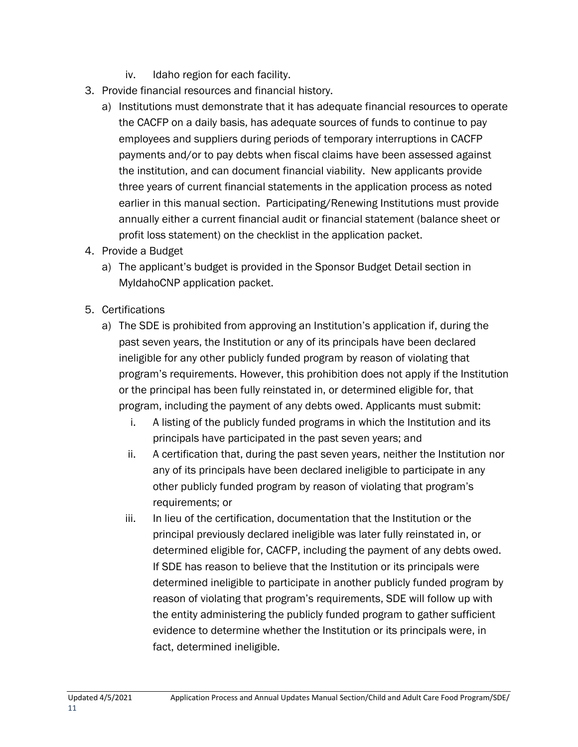- iv. Idaho region for each facility.
- 3. Provide financial resources and financial history.
	- a) Institutions must demonstrate that it has adequate financial resources to operate the CACFP on a daily basis, has adequate sources of funds to continue to pay employees and suppliers during periods of temporary interruptions in CACFP payments and/or to pay debts when fiscal claims have been assessed against the institution, and can document financial viability. New applicants provide three years of current financial statements in the application process as noted earlier in this manual section. Participating/Renewing Institutions must provide annually either a current financial audit or financial statement (balance sheet or profit loss statement) on the checklist in the application packet.
- 4. Provide a Budget
	- a) The applicant's budget is provided in the Sponsor Budget Detail section in MyIdahoCNP application packet.
- 5. Certifications
	- a) The SDE is prohibited from approving an Institution's application if, during the past seven years, the Institution or any of its principals have been declared ineligible for any other publicly funded program by reason of violating that program's requirements. However, this prohibition does not apply if the Institution or the principal has been fully reinstated in, or determined eligible for, that program, including the payment of any debts owed. Applicants must submit:
		- i. A listing of the publicly funded programs in which the Institution and its principals have participated in the past seven years; and
		- ii. A certification that, during the past seven years, neither the Institution nor any of its principals have been declared ineligible to participate in any other publicly funded program by reason of violating that program's requirements; or
		- iii. In lieu of the certification, documentation that the Institution or the principal previously declared ineligible was later fully reinstated in, or determined eligible for, CACFP, including the payment of any debts owed. If SDE has reason to believe that the Institution or its principals were determined ineligible to participate in another publicly funded program by reason of violating that program's requirements, SDE will follow up with the entity administering the publicly funded program to gather sufficient evidence to determine whether the Institution or its principals were, in fact, determined ineligible.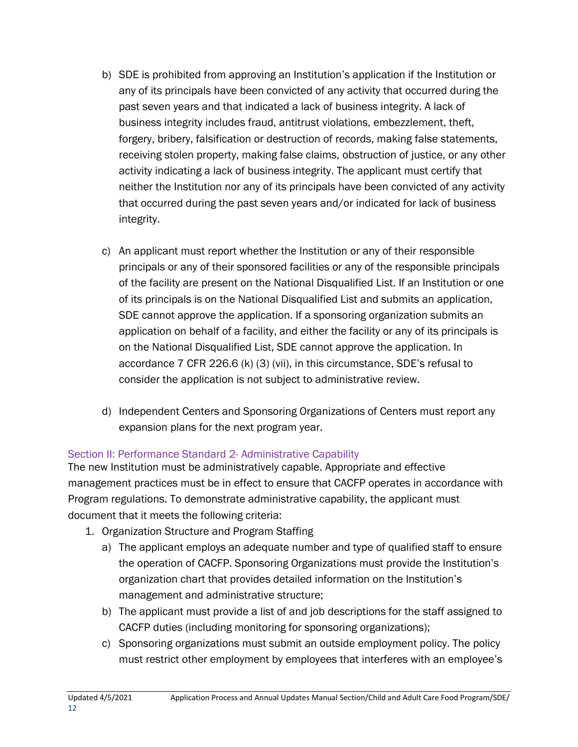- b) SDE is prohibited from approving an Institution's application if the Institution or any of its principals have been convicted of any activity that occurred during the past seven years and that indicated a lack of business integrity. A lack of business integrity includes fraud, antitrust violations, embezzlement, theft, forgery, bribery, falsification or destruction of records, making false statements, receiving stolen property, making false claims, obstruction of justice, or any other activity indicating a lack of business integrity. The applicant must certify that neither the Institution nor any of its principals have been convicted of any activity that occurred during the past seven years and/or indicated for lack of business integrity.
- c) An applicant must report whether the Institution or any of their responsible principals or any of their sponsored facilities or any of the responsible principals of the facility are present on the National Disqualified List. If an Institution or one of its principals is on the National Disqualified List and submits an application, SDE cannot approve the application. If a sponsoring organization submits an application on behalf of a facility, and either the facility or any of its principals is on the National Disqualified List, SDE cannot approve the application. In accordance 7 CFR 226.6 (k) (3) (vii), in this circumstance, SDE's refusal to consider the application is not subject to administrative review.
- d) Independent Centers and Sponsoring Organizations of Centers must report any expansion plans for the next program year.

### Section II: Performance Standard 2- Administrative Capability

The new Institution must be administratively capable. Appropriate and effective management practices must be in effect to ensure that CACFP operates in accordance with Program regulations. To demonstrate administrative capability, the applicant must document that it meets the following criteria:

- 1. Organization Structure and Program Staffing
	- a) The applicant employs an adequate number and type of qualified staff to ensure the operation of CACFP. Sponsoring Organizations must provide the Institution's organization chart that provides detailed information on the Institution's management and administrative structure;
	- b) The applicant must provide a list of and job descriptions for the staff assigned to CACFP duties (including monitoring for sponsoring organizations);
	- c) Sponsoring organizations must submit an outside employment policy. The policy must restrict other employment by employees that interferes with an employee's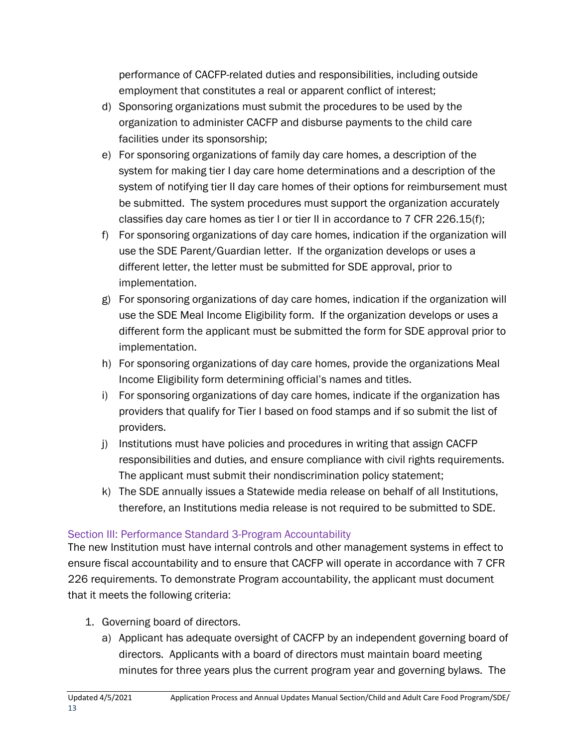performance of CACFP-related duties and responsibilities, including outside employment that constitutes a real or apparent conflict of interest;

- d) Sponsoring organizations must submit the procedures to be used by the organization to administer CACFP and disburse payments to the child care facilities under its sponsorship;
- e) For sponsoring organizations of family day care homes, a description of the system for making tier I day care home determinations and a description of the system of notifying tier II day care homes of their options for reimbursement must be submitted. The system procedures must support the organization accurately classifies day care homes as tier I or tier II in accordance to 7 CFR 226.15(f);
- f) For sponsoring organizations of day care homes, indication if the organization will use the SDE Parent/Guardian letter. If the organization develops or uses a different letter, the letter must be submitted for SDE approval, prior to implementation.
- g) For sponsoring organizations of day care homes, indication if the organization will use the SDE Meal Income Eligibility form. If the organization develops or uses a different form the applicant must be submitted the form for SDE approval prior to implementation.
- h) For sponsoring organizations of day care homes, provide the organizations Meal Income Eligibility form determining official's names and titles.
- i) For sponsoring organizations of day care homes, indicate if the organization has providers that qualify for Tier I based on food stamps and if so submit the list of providers.
- j) Institutions must have policies and procedures in writing that assign CACFP responsibilities and duties, and ensure compliance with civil rights requirements. The applicant must submit their nondiscrimination policy statement;
- k) The SDE annually issues a Statewide media release on behalf of all Institutions, therefore, an Institutions media release is not required to be submitted to SDE.

### Section III: Performance Standard 3-Program Accountability

The new Institution must have internal controls and other management systems in effect to ensure fiscal accountability and to ensure that CACFP will operate in accordance with 7 CFR 226 requirements. To demonstrate Program accountability, the applicant must document that it meets the following criteria:

- 1. Governing board of directors.
	- a) Applicant has adequate oversight of CACFP by an independent governing board of directors. Applicants with a board of directors must maintain board meeting minutes for three years plus the current program year and governing bylaws. The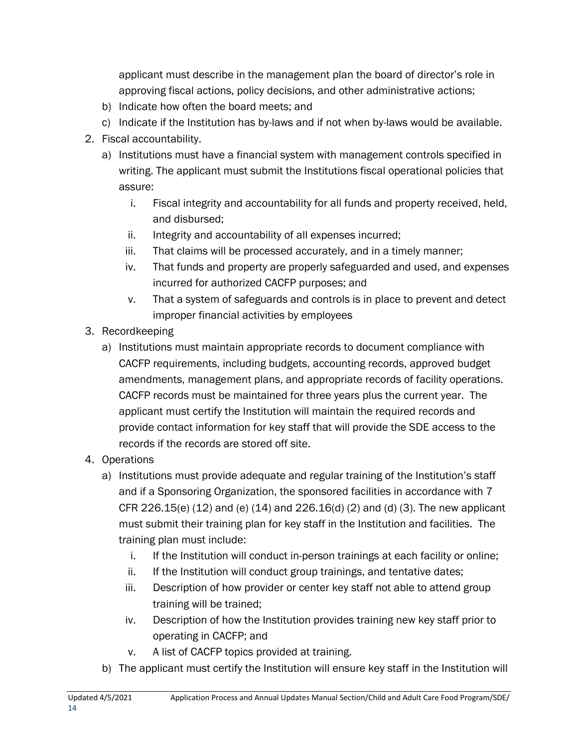applicant must describe in the management plan the board of director's role in approving fiscal actions, policy decisions, and other administrative actions;

- b) Indicate how often the board meets; and
- c) Indicate if the Institution has by-laws and if not when by-laws would be available.
- 2. Fiscal accountability.
	- a) Institutions must have a financial system with management controls specified in writing. The applicant must submit the Institutions fiscal operational policies that assure:
		- i. Fiscal integrity and accountability for all funds and property received, held, and disbursed;
		- ii. Integrity and accountability of all expenses incurred;
		- iii. That claims will be processed accurately, and in a timely manner;
		- iv. That funds and property are properly safeguarded and used, and expenses incurred for authorized CACFP purposes; and
		- v. That a system of safeguards and controls is in place to prevent and detect improper financial activities by employees
- 3. Recordkeeping
	- a) Institutions must maintain appropriate records to document compliance with CACFP requirements, including budgets, accounting records, approved budget amendments, management plans, and appropriate records of facility operations. CACFP records must be maintained for three years plus the current year. The applicant must certify the Institution will maintain the required records and provide contact information for key staff that will provide the SDE access to the records if the records are stored off site.
- 4. Operations
	- a) Institutions must provide adequate and regular training of the Institution's staff and if a Sponsoring Organization, the sponsored facilities in accordance with 7 CFR 226.15(e) (12) and (e) (14) and 226.16(d) (2) and (d) (3). The new applicant must submit their training plan for key staff in the Institution and facilities. The training plan must include:
		- i. If the Institution will conduct in-person trainings at each facility or online;
		- ii. If the Institution will conduct group trainings, and tentative dates;
		- iii. Description of how provider or center key staff not able to attend group training will be trained;
		- iv. Description of how the Institution provides training new key staff prior to operating in CACFP; and
		- v. A list of CACFP topics provided at training.
	- b) The applicant must certify the Institution will ensure key staff in the Institution will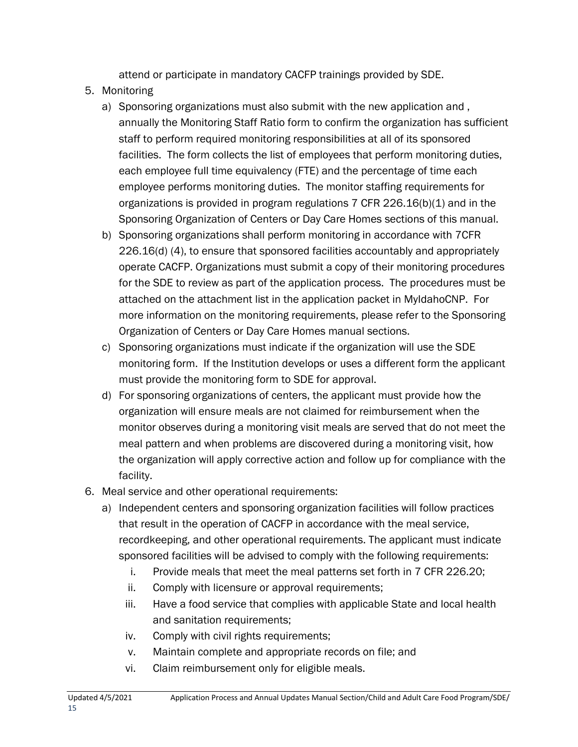attend or participate in mandatory CACFP trainings provided by SDE.

- 5. Monitoring
	- a) Sponsoring organizations must also submit with the new application and , annually the Monitoring Staff Ratio form to confirm the organization has sufficient staff to perform required monitoring responsibilities at all of its sponsored facilities. The form collects the list of employees that perform monitoring duties, each employee full time equivalency (FTE) and the percentage of time each employee performs monitoring duties. The monitor staffing requirements for organizations is provided in program regulations 7 CFR 226.16(b)(1) and in the Sponsoring Organization of Centers or Day Care Homes sections of this manual.
	- b) Sponsoring organizations shall perform monitoring in accordance with 7CFR 226.16(d) (4), to ensure that sponsored facilities accountably and appropriately operate CACFP. Organizations must submit a copy of their monitoring procedures for the SDE to review as part of the application process. The procedures must be attached on the attachment list in the application packet in MyIdahoCNP. For more information on the monitoring requirements, please refer to the Sponsoring Organization of Centers or Day Care Homes manual sections.
	- c) Sponsoring organizations must indicate if the organization will use the SDE monitoring form. If the Institution develops or uses a different form the applicant must provide the monitoring form to SDE for approval.
	- d) For sponsoring organizations of centers, the applicant must provide how the organization will ensure meals are not claimed for reimbursement when the monitor observes during a monitoring visit meals are served that do not meet the meal pattern and when problems are discovered during a monitoring visit, how the organization will apply corrective action and follow up for compliance with the facility.
- 6. Meal service and other operational requirements:
	- a) Independent centers and sponsoring organization facilities will follow practices that result in the operation of CACFP in accordance with the meal service, recordkeeping, and other operational requirements. The applicant must indicate sponsored facilities will be advised to comply with the following requirements:
		- i. Provide meals that meet the meal patterns set forth in 7 CFR 226.20;
		- ii. Comply with licensure or approval requirements;
		- iii. Have a food service that complies with applicable State and local health and sanitation requirements;
		- iv. Comply with civil rights requirements;
		- v. Maintain complete and appropriate records on file; and
		- vi. Claim reimbursement only for eligible meals.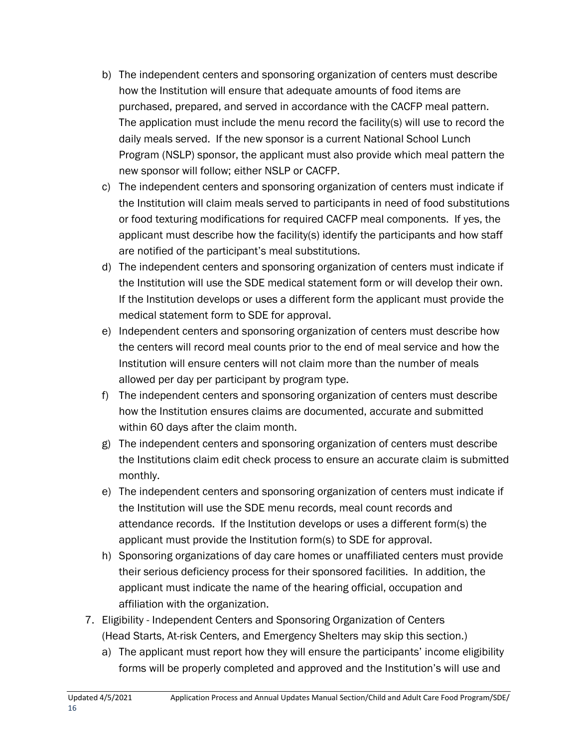- b) The independent centers and sponsoring organization of centers must describe how the Institution will ensure that adequate amounts of food items are purchased, prepared, and served in accordance with the CACFP meal pattern. The application must include the menu record the facility(s) will use to record the daily meals served. If the new sponsor is a current National School Lunch Program (NSLP) sponsor, the applicant must also provide which meal pattern the new sponsor will follow; either NSLP or CACFP.
- c) The independent centers and sponsoring organization of centers must indicate if the Institution will claim meals served to participants in need of food substitutions or food texturing modifications for required CACFP meal components. If yes, the applicant must describe how the facility(s) identify the participants and how staff are notified of the participant's meal substitutions.
- d) The independent centers and sponsoring organization of centers must indicate if the Institution will use the SDE medical statement form or will develop their own. If the Institution develops or uses a different form the applicant must provide the medical statement form to SDE for approval.
- e) Independent centers and sponsoring organization of centers must describe how the centers will record meal counts prior to the end of meal service and how the Institution will ensure centers will not claim more than the number of meals allowed per day per participant by program type.
- f) The independent centers and sponsoring organization of centers must describe how the Institution ensures claims are documented, accurate and submitted within 60 days after the claim month.
- g) The independent centers and sponsoring organization of centers must describe the Institutions claim edit check process to ensure an accurate claim is submitted monthly.
- e) The independent centers and sponsoring organization of centers must indicate if the Institution will use the SDE menu records, meal count records and attendance records. If the Institution develops or uses a different form(s) the applicant must provide the Institution form(s) to SDE for approval.
- h) Sponsoring organizations of day care homes or unaffiliated centers must provide their serious deficiency process for their sponsored facilities. In addition, the applicant must indicate the name of the hearing official, occupation and affiliation with the organization.
- 7. Eligibility Independent Centers and Sponsoring Organization of Centers (Head Starts, At-risk Centers, and Emergency Shelters may skip this section.)
	- a) The applicant must report how they will ensure the participants' income eligibility forms will be properly completed and approved and the Institution's will use and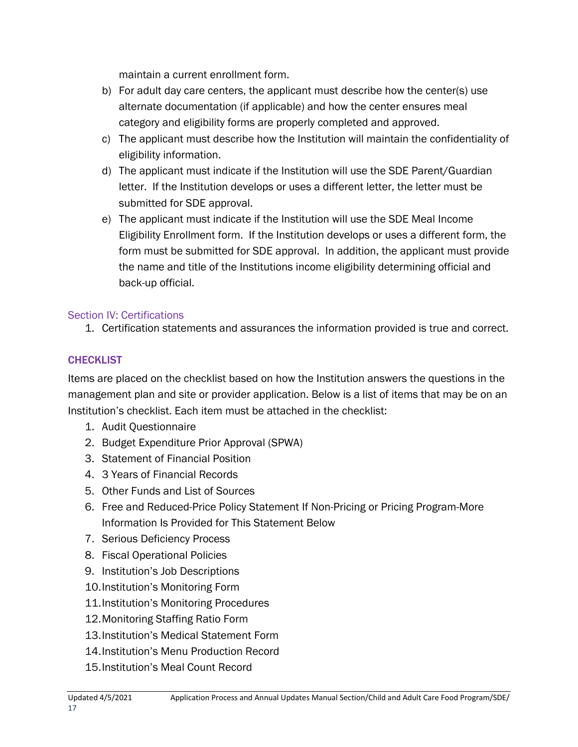maintain a current enrollment form.

- b) For adult day care centers, the applicant must describe how the center(s) use alternate documentation (if applicable) and how the center ensures meal category and eligibility forms are properly completed and approved.
- c) The applicant must describe how the Institution will maintain the confidentiality of eligibility information.
- d) The applicant must indicate if the Institution will use the SDE Parent/Guardian letter. If the Institution develops or uses a different letter, the letter must be submitted for SDE approval.
- e) The applicant must indicate if the Institution will use the SDE Meal Income Eligibility Enrollment form. If the Institution develops or uses a different form, the form must be submitted for SDE approval. In addition, the applicant must provide the name and title of the Institutions income eligibility determining official and back-up official.

### Section IV: Certifications

1. Certification statements and assurances the information provided is true and correct.

### **CHECKLIST**

Items are placed on the checklist based on how the Institution answers the questions in the management plan and site or provider application. Below is a list of items that may be on an Institution's checklist. Each item must be attached in the checklist:

- 1. Audit Questionnaire
- 2. Budget Expenditure Prior Approval (SPWA)
- 3. Statement of Financial Position
- 4. 3 Years of Financial Records
- 5. Other Funds and List of Sources
- 6. Free and Reduced-Price Policy Statement If Non-Pricing or Pricing Program-More Information Is Provided for This Statement Below
- 7. Serious Deficiency Process
- 8. Fiscal Operational Policies
- 9. Institution's Job Descriptions
- 10.Institution's Monitoring Form
- 11.Institution's Monitoring Procedures
- 12.Monitoring Staffing Ratio Form
- 13.Institution's Medical Statement Form
- 14.Institution's Menu Production Record
- 15.Institution's Meal Count Record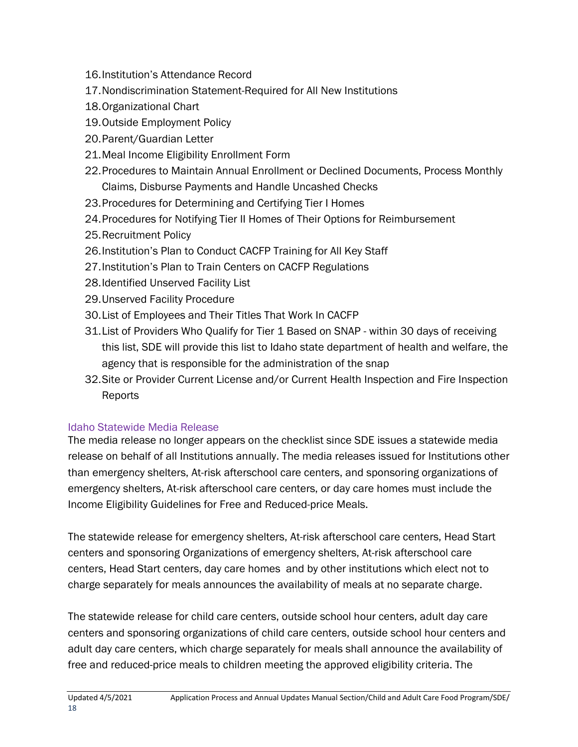- 16.Institution's Attendance Record
- 17.Nondiscrimination Statement-Required for All New Institutions
- 18.Organizational Chart
- 19.Outside Employment Policy
- 20.Parent/Guardian Letter
- 21.Meal Income Eligibility Enrollment Form
- 22.Procedures to Maintain Annual Enrollment or Declined Documents, Process Monthly Claims, Disburse Payments and Handle Uncashed Checks
- 23.Procedures for Determining and Certifying Tier I Homes
- 24.Procedures for Notifying Tier II Homes of Their Options for Reimbursement
- 25.Recruitment Policy
- 26.Institution's Plan to Conduct CACFP Training for All Key Staff
- 27.Institution's Plan to Train Centers on CACFP Regulations
- 28.Identified Unserved Facility List
- 29.Unserved Facility Procedure
- 30.List of Employees and Their Titles That Work In CACFP
- 31.List of Providers Who Qualify for Tier 1 Based on SNAP within 30 days of receiving this list, SDE will provide this list to Idaho state department of health and welfare, the agency that is responsible for the administration of the snap
- 32.Site or Provider Current License and/or Current Health Inspection and Fire Inspection Reports

### Idaho Statewide Media Release

The media release no longer appears on the checklist since SDE issues a statewide media release on behalf of all Institutions annually. The media releases issued for Institutions other than emergency shelters, At-risk afterschool care centers, and sponsoring organizations of emergency shelters, At-risk afterschool care centers, or day care homes must include the Income Eligibility Guidelines for Free and Reduced-price Meals.

The statewide release for emergency shelters, At-risk afterschool care centers, Head Start centers and sponsoring Organizations of emergency shelters, At-risk afterschool care centers, Head Start centers, day care homes and by other institutions which elect not to charge separately for meals announces the availability of meals at no separate charge.

The statewide release for child care centers, outside school hour centers, adult day care centers and sponsoring organizations of child care centers, outside school hour centers and adult day care centers, which charge separately for meals shall announce the availability of free and reduced-price meals to children meeting the approved eligibility criteria. The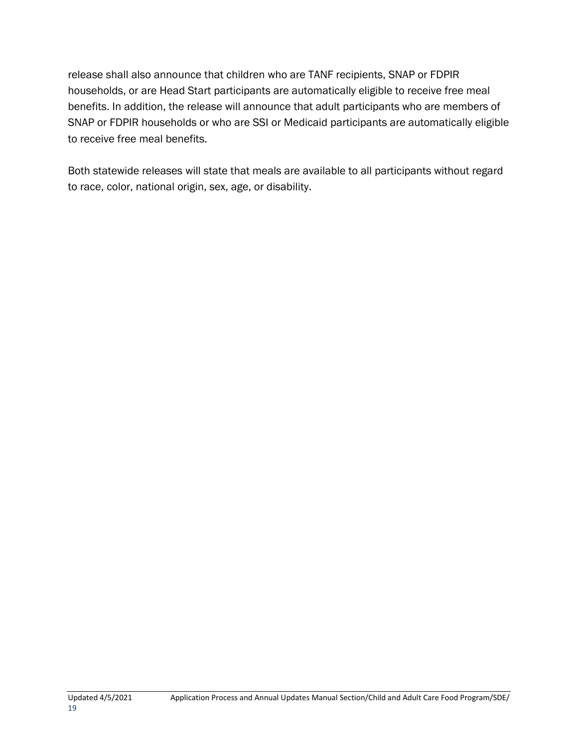release shall also announce that children who are TANF recipients, SNAP or FDPIR households, or are Head Start participants are automatically eligible to receive free meal benefits. In addition, the release will announce that adult participants who are members of SNAP or FDPIR households or who are SSI or Medicaid participants are automatically eligible to receive free meal benefits.

Both statewide releases will state that meals are available to all participants without regard to race, color, national origin, sex, age, or disability.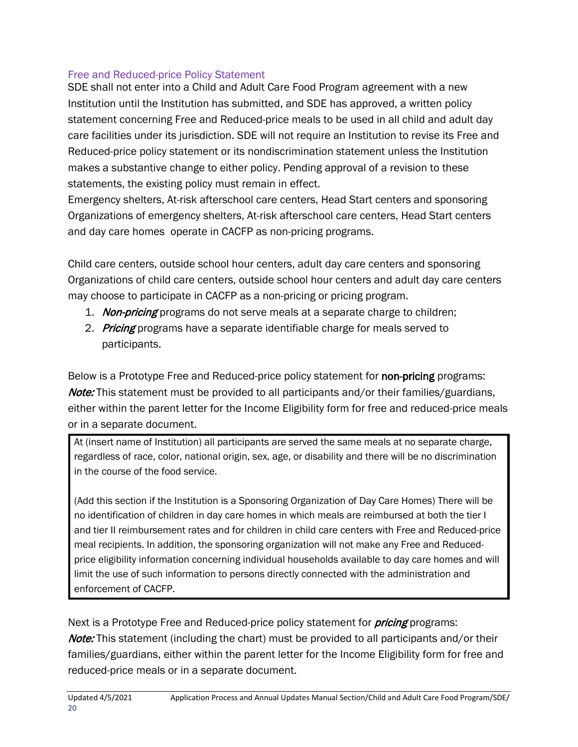### Free and Reduced-price Policy Statement

SDE shall not enter into a Child and Adult Care Food Program agreement with a new Institution until the Institution has submitted, and SDE has approved, a written policy statement concerning Free and Reduced-price meals to be used in all child and adult day care facilities under its jurisdiction. SDE will not require an Institution to revise its Free and Reduced-price policy statement or its nondiscrimination statement unless the Institution makes a substantive change to either policy. Pending approval of a revision to these statements, the existing policy must remain in effect.

Emergency shelters, At-risk afterschool care centers, Head Start centers and sponsoring Organizations of emergency shelters, At-risk afterschool care centers, Head Start centers and day care homes operate in CACFP as non-pricing programs.

Child care centers, outside school hour centers, adult day care centers and sponsoring Organizations of child care centers, outside school hour centers and adult day care centers may choose to participate in CACFP as a non-pricing or pricing program.

- 1. Non-pricing programs do not serve meals at a separate charge to children;
- 2. Pricing programs have a separate identifiable charge for meals served to participants.

Below is a Prototype Free and Reduced-price policy statement for non-pricing programs: Note: This statement must be provided to all participants and/or their families/guardians, either within the parent letter for the Income Eligibility form for free and reduced-price meals or in a separate document.

At (insert name of Institution) all participants are served the same meals at no separate charge, regardless of race, color, national origin, sex, age, or disability and there will be no discrimination in the course of the food service.

(Add this section if the Institution is a Sponsoring Organization of Day Care Homes) There will be no identification of children in day care homes in which meals are reimbursed at both the tier I and tier II reimbursement rates and for children in child care centers with Free and Reduced-price meal recipients. In addition, the sponsoring organization will not make any Free and Reducedprice eligibility information concerning individual households available to day care homes and will limit the use of such information to persons directly connected with the administration and enforcement of CACFP.

Next is a Prototype Free and Reduced-price policy statement for *pricing* programs: **Note:** This statement (including the chart) must be provided to all participants and/or their families/guardians, either within the parent letter for the Income Eligibility form for free and reduced-price meals or in a separate document.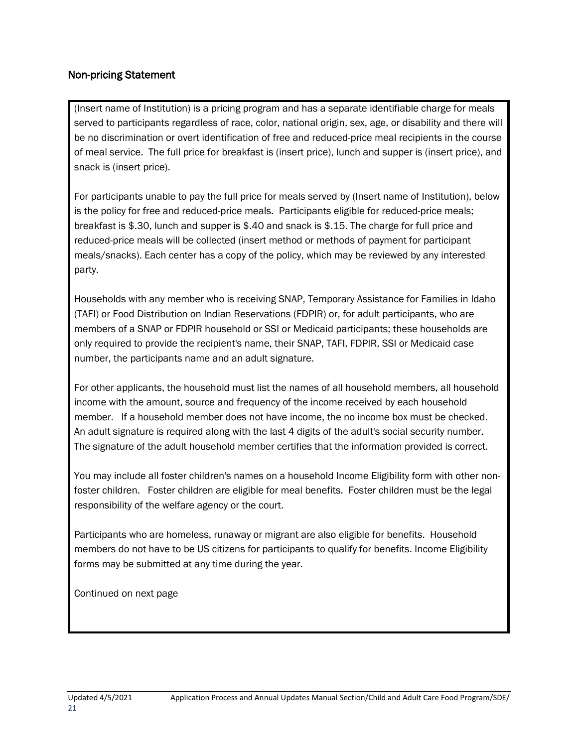#### Non-pricing Statement

(Insert name of Institution) is a pricing program and has a separate identifiable charge for meals served to participants regardless of race, color, national origin, sex, age, or disability and there will be no discrimination or overt identification of free and reduced-price meal recipients in the course of meal service. The full price for breakfast is (insert price), lunch and supper is (insert price), and snack is (insert price).

For participants unable to pay the full price for meals served by (Insert name of Institution), below is the policy for free and reduced-price meals. Participants eligible for reduced-price meals; breakfast is \$.30, lunch and supper is \$.40 and snack is \$.15. The charge for full price and reduced-price meals will be collected (insert method or methods of payment for participant meals/snacks). Each center has a copy of the policy, which may be reviewed by any interested party.

Households with any member who is receiving SNAP, Temporary Assistance for Families in Idaho (TAFI) or Food Distribution on Indian Reservations (FDPIR) or, for adult participants, who are members of a SNAP or FDPIR household or SSI or Medicaid participants; these households are only required to provide the recipient's name, their SNAP, TAFI, FDPIR, SSI or Medicaid case number, the participants name and an adult signature.

For other applicants, the household must list the names of all household members, all household income with the amount, source and frequency of the income received by each household member. If a household member does not have income, the no income box must be checked. An adult signature is required along with the last 4 digits of the adult's social security number. The signature of the adult household member certifies that the information provided is correct.

You may include all foster children's names on a household Income Eligibility form with other nonfoster children. Foster children are eligible for meal benefits. Foster children must be the legal responsibility of the welfare agency or the court.

Participants who are homeless, runaway or migrant are also eligible for benefits. Household members do not have to be US citizens for participants to qualify for benefits. Income Eligibility forms may be submitted at any time during the year.

Continued on next page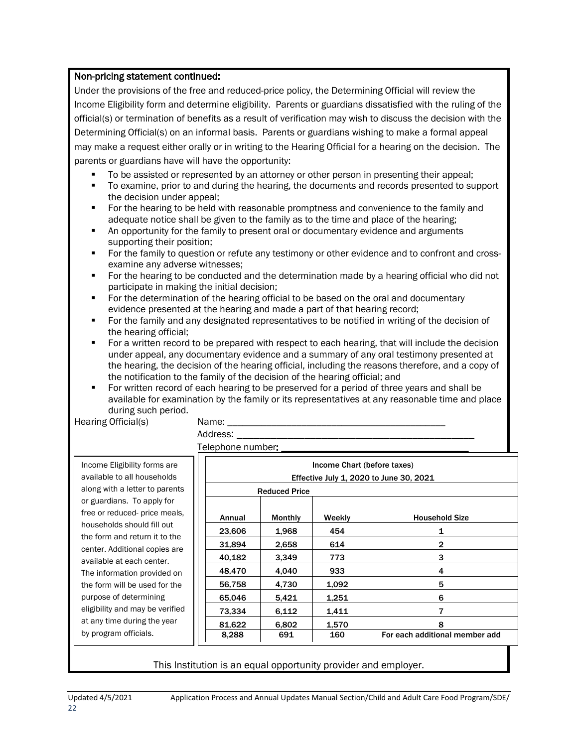#### Non-pricing statement continued:

Under the provisions of the free and reduced-price policy, the Determining Official will review the Income Eligibility form and determine eligibility. Parents or guardians dissatisfied with the ruling of the official(s) or termination of benefits as a result of verification may wish to discuss the decision with the Determining Official(s) on an informal basis. Parents or guardians wishing to make a formal appeal may make a request either orally or in writing to the Hearing Official for a hearing on the decision. The parents or guardians have will have the opportunity:

- To be assisted or represented by an attorney or other person in presenting their appeal;
- To examine, prior to and during the hearing, the documents and records presented to support the decision under appeal;
- For the hearing to be held with reasonable promptness and convenience to the family and adequate notice shall be given to the family as to the time and place of the hearing;
- An opportunity for the family to present oral or documentary evidence and arguments supporting their position;
- For the family to question or refute any testimony or other evidence and to confront and crossexamine any adverse witnesses;
- For the hearing to be conducted and the determination made by a hearing official who did not participate in making the initial decision;
- For the determination of the hearing official to be based on the oral and documentary evidence presented at the hearing and made a part of that hearing record;
- For the family and any designated representatives to be notified in writing of the decision of the hearing official;
- For a written record to be prepared with respect to each hearing, that will include the decision under appeal, any documentary evidence and a summary of any oral testimony presented at the hearing, the decision of the hearing official, including the reasons therefore, and a copy of the notification to the family of the decision of the hearing official; and
- For written record of each hearing to be preserved for a period of three years and shall be available for examination by the family or its representatives at any reasonable time and place during such period.

Hearing Official(s) Name:

Address: Telephone number:

| Income Eligibility forms are    |  |  |  |  |
|---------------------------------|--|--|--|--|
| available to all households     |  |  |  |  |
| along with a letter to parents  |  |  |  |  |
| or guardians. To apply for      |  |  |  |  |
| free or reduced- price meals.   |  |  |  |  |
| households should fill out      |  |  |  |  |
| the form and return it to the   |  |  |  |  |
| center. Additional copies are   |  |  |  |  |
| available at each center.       |  |  |  |  |
| The information provided on     |  |  |  |  |
| the form will be used for the   |  |  |  |  |
| purpose of determining          |  |  |  |  |
| eligibility and may be verified |  |  |  |  |
| at any time during the year     |  |  |  |  |
| by program officials.           |  |  |  |  |
|                                 |  |  |  |  |

| Income Chart (before taxes)             |                |        |                                |  |
|-----------------------------------------|----------------|--------|--------------------------------|--|
| Effective July 1, 2020 to June 30, 2021 |                |        |                                |  |
| <b>Reduced Price</b>                    |                |        |                                |  |
|                                         |                |        |                                |  |
| Annual                                  | <b>Monthly</b> | Weekly | <b>Household Size</b>          |  |
| 23,606                                  | 1,968          | 454    | 1                              |  |
| 31,894                                  | 2,658          | 614    | $\mathbf{2}$                   |  |
| 40,182                                  | 3,349          | 773    | 3                              |  |
| 48,470                                  | 4,040          | 933    | 4                              |  |
| 56,758                                  | 4,730          | 1,092  | 5                              |  |
| 65,046                                  | 5,421          | 1,251  | 6                              |  |
| 73,334                                  | 6,112          | 1,411  | 7                              |  |
| 81,622                                  | 6,802          | 1,570  | 8                              |  |
| 8,288                                   | 691            | 160    | For each additional member add |  |

#### This Institution is an equal opportunity provider and employer.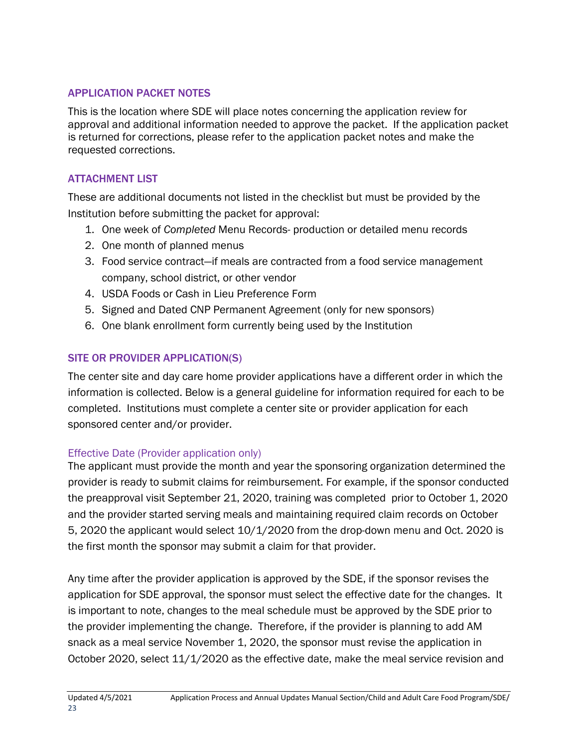#### APPLICATION PACKET NOTES

This is the location where SDE will place notes concerning the application review for approval and additional information needed to approve the packet. If the application packet is returned for corrections, please refer to the application packet notes and make the requested corrections.

### ATTACHMENT LIST

These are additional documents not listed in the checklist but must be provided by the Institution before submitting the packet for approval:

- 1. One week of *Completed* Menu Records- production or detailed menu records
- 2. One month of planned menus
- 3. Food service contract—if meals are contracted from a food service management company, school district, or other vendor
- 4. USDA Foods or Cash in Lieu Preference Form
- 5. Signed and Dated CNP Permanent Agreement (only for new sponsors)
- 6. One blank enrollment form currently being used by the Institution

### SITE OR PROVIDER APPLICATION(S)

The center site and day care home provider applications have a different order in which the information is collected. Below is a general guideline for information required for each to be completed. Institutions must complete a center site or provider application for each sponsored center and/or provider.

### Effective Date (Provider application only)

The applicant must provide the month and year the sponsoring organization determined the provider is ready to submit claims for reimbursement. For example, if the sponsor conducted the preapproval visit September 21, 2020, training was completed prior to October 1, 2020 and the provider started serving meals and maintaining required claim records on October 5, 2020 the applicant would select 10/1/2020 from the drop-down menu and Oct. 2020 is the first month the sponsor may submit a claim for that provider.

Any time after the provider application is approved by the SDE, if the sponsor revises the application for SDE approval, the sponsor must select the effective date for the changes. It is important to note, changes to the meal schedule must be approved by the SDE prior to the provider implementing the change. Therefore, if the provider is planning to add AM snack as a meal service November 1, 2020, the sponsor must revise the application in October 2020, select 11/1/2020 as the effective date, make the meal service revision and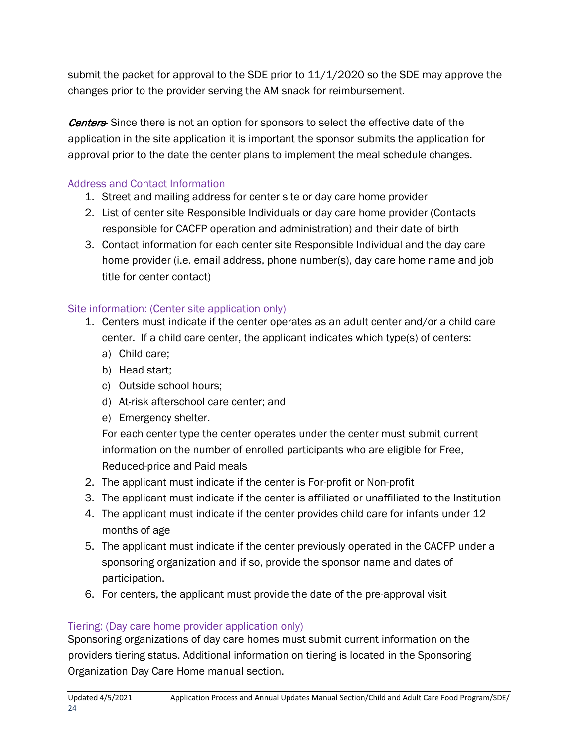submit the packet for approval to the SDE prior to 11/1/2020 so the SDE may approve the changes prior to the provider serving the AM snack for reimbursement.

**Centers**- Since there is not an option for sponsors to select the effective date of the application in the site application it is important the sponsor submits the application for approval prior to the date the center plans to implement the meal schedule changes.

### Address and Contact Information

- 1. Street and mailing address for center site or day care home provider
- 2. List of center site Responsible Individuals or day care home provider (Contacts responsible for CACFP operation and administration) and their date of birth
- 3. Contact information for each center site Responsible Individual and the day care home provider (i.e. email address, phone number(s), day care home name and job title for center contact)

### Site information: (Center site application only)

- 1. Centers must indicate if the center operates as an adult center and/or a child care center. If a child care center, the applicant indicates which type(s) of centers:
	- a) Child care;
	- b) Head start;
	- c) Outside school hours;
	- d) At-risk afterschool care center; and
	- e) Emergency shelter.

For each center type the center operates under the center must submit current information on the number of enrolled participants who are eligible for Free, Reduced-price and Paid meals

- 2. The applicant must indicate if the center is For-profit or Non-profit
- 3. The applicant must indicate if the center is affiliated or unaffiliated to the Institution
- 4. The applicant must indicate if the center provides child care for infants under 12 months of age
- 5. The applicant must indicate if the center previously operated in the CACFP under a sponsoring organization and if so, provide the sponsor name and dates of participation.
- 6. For centers, the applicant must provide the date of the pre-approval visit

### Tiering: (Day care home provider application only)

Sponsoring organizations of day care homes must submit current information on the providers tiering status. Additional information on tiering is located in the Sponsoring Organization Day Care Home manual section.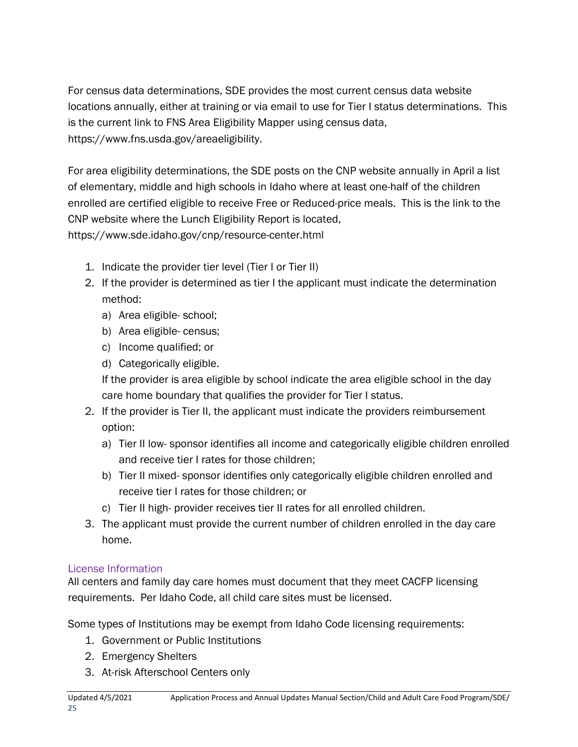For census data determinations, SDE provides the most current census data website locations annually, either at training or via email to use for Tier I status determinations. This is the current link to FNS Area Eligibility Mapper using census data, https://www.fns.usda.gov/areaeligibility.

For area eligibility determinations, the SDE posts on the CNP website annually in April a list of elementary, middle and high schools in Idaho where at least one-half of the children enrolled are certified eligible to receive Free or Reduced-price meals. This is the link to the CNP website where the Lunch Eligibility Report is located, https://www.sde.idaho.gov/cnp/resource-center.html

- 1. Indicate the provider tier level (Tier I or Tier II)
- 2. If the provider is determined as tier I the applicant must indicate the determination method:
	- a) Area eligible- school;
	- b) Area eligible- census;
	- c) Income qualified; or
	- d) Categorically eligible.

If the provider is area eligible by school indicate the area eligible school in the day care home boundary that qualifies the provider for Tier I status.

- 2. If the provider is Tier II, the applicant must indicate the providers reimbursement option:
	- a) Tier II low- sponsor identifies all income and categorically eligible children enrolled and receive tier I rates for those children;
	- b) Tier II mixed- sponsor identifies only categorically eligible children enrolled and receive tier I rates for those children; or
	- c) Tier II high- provider receives tier II rates for all enrolled children.
- 3. The applicant must provide the current number of children enrolled in the day care home.

### License Information

All centers and family day care homes must document that they meet CACFP licensing requirements. Per Idaho Code, all child care sites must be licensed.

Some types of Institutions may be exempt from Idaho Code licensing requirements:

- 1. Government or Public Institutions
- 2. Emergency Shelters
- 3. At-risk Afterschool Centers only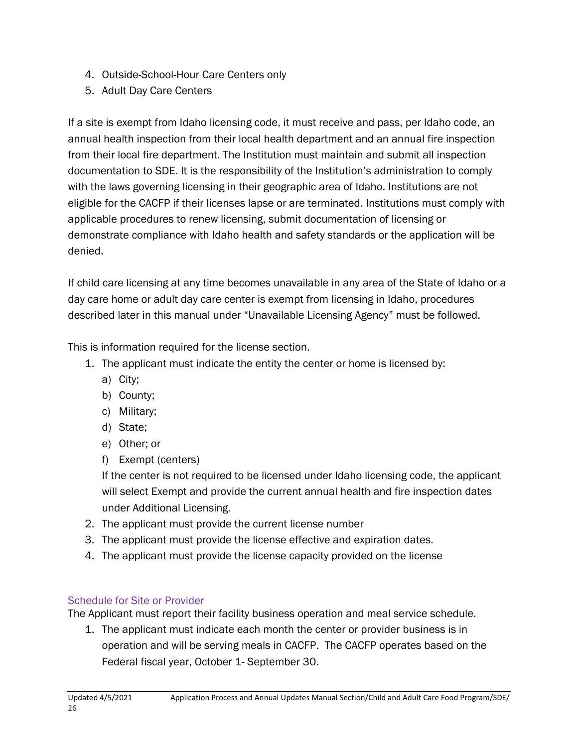- 4. Outside-School-Hour Care Centers only
- 5. Adult Day Care Centers

If a site is exempt from Idaho licensing code, it must receive and pass, per Idaho code, an annual health inspection from their local health department and an annual fire inspection from their local fire department. The Institution must maintain and submit all inspection documentation to SDE. It is the responsibility of the Institution's administration to comply with the laws governing licensing in their geographic area of Idaho. Institutions are not eligible for the CACFP if their licenses lapse or are terminated. Institutions must comply with applicable procedures to renew licensing, submit documentation of licensing or demonstrate compliance with Idaho health and safety standards or the application will be denied.

If child care licensing at any time becomes unavailable in any area of the State of Idaho or a day care home or adult day care center is exempt from licensing in Idaho, procedures described later in this manual under "Unavailable Licensing Agency" must be followed.

This is information required for the license section.

- 1. The applicant must indicate the entity the center or home is licensed by:
	- a) City;
	- b) County;
	- c) Military;
	- d) State;
	- e) Other; or
	- f) Exempt (centers)

If the center is not required to be licensed under Idaho licensing code, the applicant will select Exempt and provide the current annual health and fire inspection dates under Additional Licensing.

- 2. The applicant must provide the current license number
- 3. The applicant must provide the license effective and expiration dates.
- 4. The applicant must provide the license capacity provided on the license

### Schedule for Site or Provider

The Applicant must report their facility business operation and meal service schedule.

1. The applicant must indicate each month the center or provider business is in operation and will be serving meals in CACFP. The CACFP operates based on the Federal fiscal year, October 1- September 30.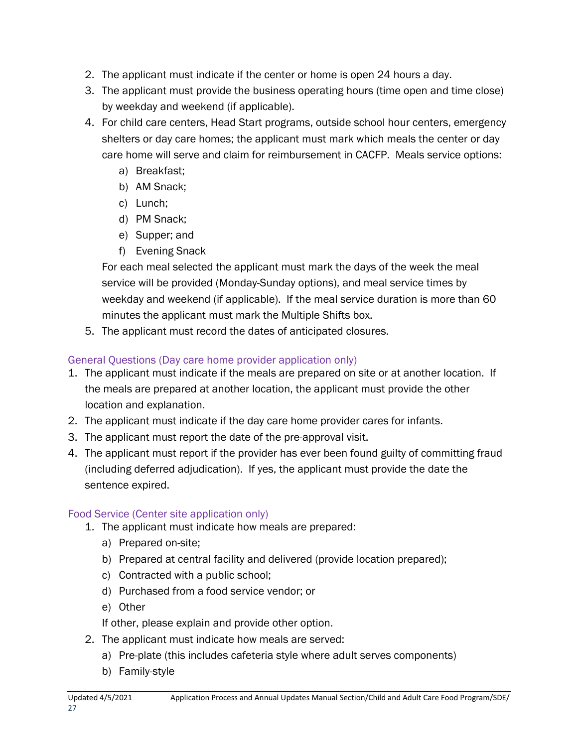- 2. The applicant must indicate if the center or home is open 24 hours a day.
- 3. The applicant must provide the business operating hours (time open and time close) by weekday and weekend (if applicable).
- 4. For child care centers, Head Start programs, outside school hour centers, emergency shelters or day care homes; the applicant must mark which meals the center or day care home will serve and claim for reimbursement in CACFP. Meals service options:
	- a) Breakfast;
	- b) AM Snack;
	- c) Lunch;
	- d) PM Snack;
	- e) Supper; and
	- f) Evening Snack

For each meal selected the applicant must mark the days of the week the meal service will be provided (Monday-Sunday options), and meal service times by weekday and weekend (if applicable). If the meal service duration is more than 60 minutes the applicant must mark the Multiple Shifts box.

5. The applicant must record the dates of anticipated closures.

### General Questions (Day care home provider application only)

- 1. The applicant must indicate if the meals are prepared on site or at another location. If the meals are prepared at another location, the applicant must provide the other location and explanation.
- 2. The applicant must indicate if the day care home provider cares for infants.
- 3. The applicant must report the date of the pre-approval visit.
- 4. The applicant must report if the provider has ever been found guilty of committing fraud (including deferred adjudication). If yes, the applicant must provide the date the sentence expired.

### Food Service (Center site application only)

- 1. The applicant must indicate how meals are prepared:
	- a) Prepared on-site;
	- b) Prepared at central facility and delivered (provide location prepared);
	- c) Contracted with a public school;
	- d) Purchased from a food service vendor; or
	- e) Other

If other, please explain and provide other option.

- 2. The applicant must indicate how meals are served:
	- a) Pre-plate (this includes cafeteria style where adult serves components)
	- b) Family-style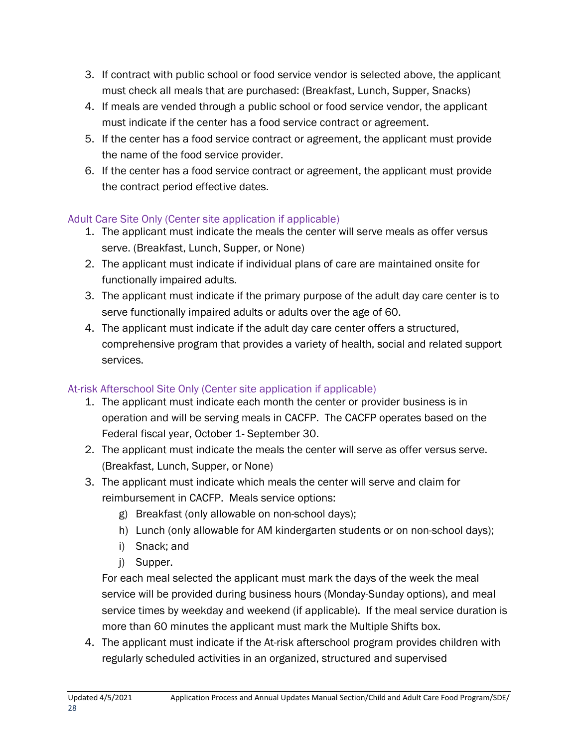- 3. If contract with public school or food service vendor is selected above, the applicant must check all meals that are purchased: (Breakfast, Lunch, Supper, Snacks)
- 4. If meals are vended through a public school or food service vendor, the applicant must indicate if the center has a food service contract or agreement.
- 5. If the center has a food service contract or agreement, the applicant must provide the name of the food service provider.
- 6. If the center has a food service contract or agreement, the applicant must provide the contract period effective dates.

### Adult Care Site Only (Center site application if applicable)

- 1. The applicant must indicate the meals the center will serve meals as offer versus serve. (Breakfast, Lunch, Supper, or None)
- 2. The applicant must indicate if individual plans of care are maintained onsite for functionally impaired adults.
- 3. The applicant must indicate if the primary purpose of the adult day care center is to serve functionally impaired adults or adults over the age of 60.
- 4. The applicant must indicate if the adult day care center offers a structured, comprehensive program that provides a variety of health, social and related support services.

### At-risk Afterschool Site Only (Center site application if applicable)

- 1. The applicant must indicate each month the center or provider business is in operation and will be serving meals in CACFP. The CACFP operates based on the Federal fiscal year, October 1- September 30.
- 2. The applicant must indicate the meals the center will serve as offer versus serve. (Breakfast, Lunch, Supper, or None)
- 3. The applicant must indicate which meals the center will serve and claim for reimbursement in CACFP. Meals service options:
	- g) Breakfast (only allowable on non-school days);
	- h) Lunch (only allowable for AM kindergarten students or on non-school days);
	- i) Snack; and
	- j) Supper.

For each meal selected the applicant must mark the days of the week the meal service will be provided during business hours (Monday-Sunday options), and meal service times by weekday and weekend (if applicable). If the meal service duration is more than 60 minutes the applicant must mark the Multiple Shifts box.

4. The applicant must indicate if the At-risk afterschool program provides children with regularly scheduled activities in an organized, structured and supervised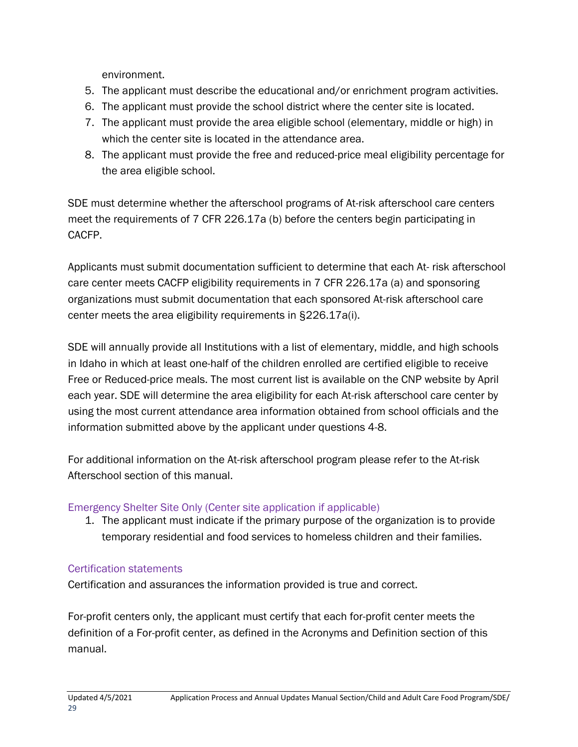environment.

- 5. The applicant must describe the educational and/or enrichment program activities.
- 6. The applicant must provide the school district where the center site is located.
- 7. The applicant must provide the area eligible school (elementary, middle or high) in which the center site is located in the attendance area.
- 8. The applicant must provide the free and reduced-price meal eligibility percentage for the area eligible school.

SDE must determine whether the afterschool programs of At-risk afterschool care centers meet the requirements of 7 CFR 226.17a (b) before the centers begin participating in CACFP.

Applicants must submit documentation sufficient to determine that each At- risk afterschool care center meets CACFP eligibility requirements in 7 CFR 226.17a (a) and sponsoring organizations must submit documentation that each sponsored At-risk afterschool care center meets the area eligibility requirements in §226.17a(i).

SDE will annually provide all Institutions with a list of elementary, middle, and high schools in Idaho in which at least one-half of the children enrolled are certified eligible to receive Free or Reduced-price meals. The most current list is available on the CNP website by April each year. SDE will determine the area eligibility for each At-risk afterschool care center by using the most current attendance area information obtained from school officials and the information submitted above by the applicant under questions 4-8.

For additional information on the At-risk afterschool program please refer to the At-risk Afterschool section of this manual.

### Emergency Shelter Site Only (Center site application if applicable)

1. The applicant must indicate if the primary purpose of the organization is to provide temporary residential and food services to homeless children and their families.

### Certification statements

Certification and assurances the information provided is true and correct.

For-profit centers only, the applicant must certify that each for-profit center meets the definition of a For-profit center, as defined in the Acronyms and Definition section of this manual.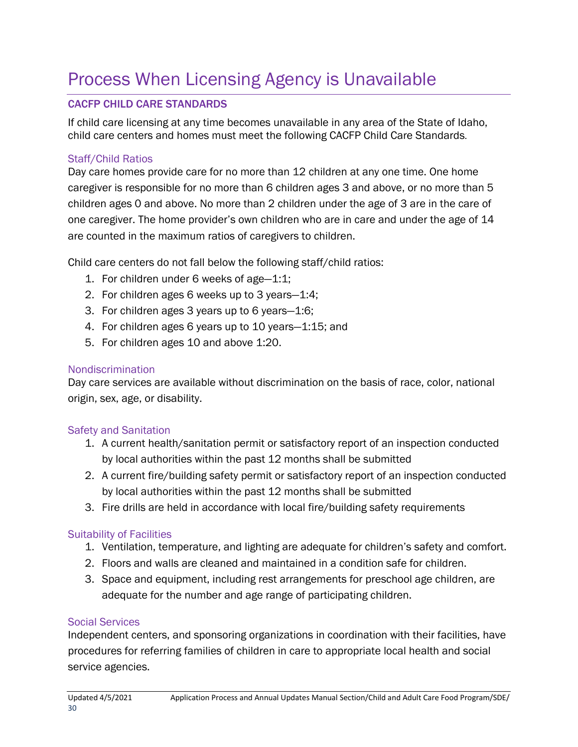## <span id="page-29-0"></span>Process When Licensing Agency is Unavailable

### CACFP CHILD CARE STANDARDS

If child care licensing at any time becomes unavailable in any area of the State of Idaho, child care centers and homes must meet the following CACFP Child Care Standards.

#### Staff/Child Ratios

Day care homes provide care for no more than 12 children at any one time. One home caregiver is responsible for no more than 6 children ages 3 and above, or no more than 5 children ages 0 and above. No more than 2 children under the age of 3 are in the care of one caregiver. The home provider's own children who are in care and under the age of 14 are counted in the maximum ratios of caregivers to children.

Child care centers do not fall below the following staff/child ratios:

- 1. For children under 6 weeks of age—1:1;
- 2. For children ages 6 weeks up to 3 years—1:4;
- 3. For children ages 3 years up to 6 years—1:6;
- 4. For children ages 6 years up to 10 years—1:15; and
- 5. For children ages 10 and above 1:20.

### Nondiscrimination

Day care services are available without discrimination on the basis of race, color, national origin, sex, age, or disability.

### Safety and Sanitation

- 1. A current health/sanitation permit or satisfactory report of an inspection conducted by local authorities within the past 12 months shall be submitted
- 2. A current fire/building safety permit or satisfactory report of an inspection conducted by local authorities within the past 12 months shall be submitted
- 3. Fire drills are held in accordance with local fire/building safety requirements

### Suitability of Facilities

- 1. Ventilation, temperature, and lighting are adequate for children's safety and comfort.
- 2. Floors and walls are cleaned and maintained in a condition safe for children.
- 3. Space and equipment, including rest arrangements for preschool age children, are adequate for the number and age range of participating children.

### Social Services

Independent centers, and sponsoring organizations in coordination with their facilities, have procedures for referring families of children in care to appropriate local health and social service agencies.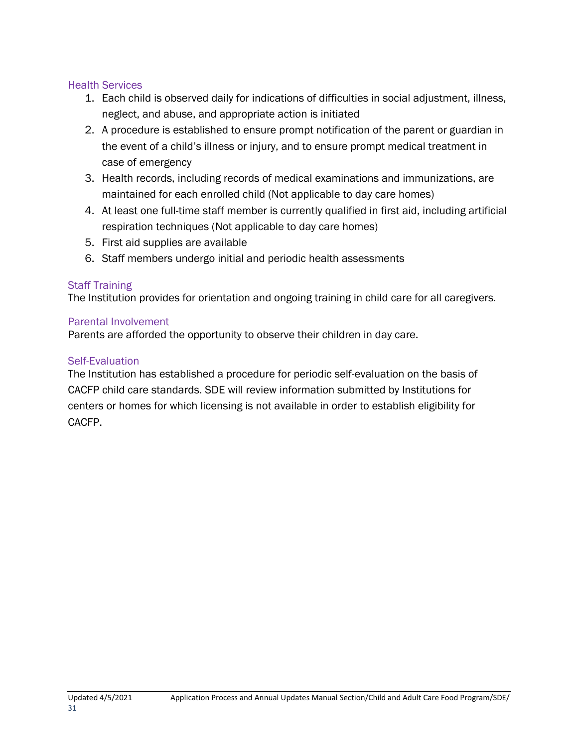#### Health Services

- 1. Each child is observed daily for indications of difficulties in social adjustment, illness, neglect, and abuse, and appropriate action is initiated
- 2. A procedure is established to ensure prompt notification of the parent or guardian in the event of a child's illness or injury, and to ensure prompt medical treatment in case of emergency
- 3. Health records, including records of medical examinations and immunizations, are maintained for each enrolled child (Not applicable to day care homes)
- 4. At least one full-time staff member is currently qualified in first aid, including artificial respiration techniques (Not applicable to day care homes)
- 5. First aid supplies are available
- 6. Staff members undergo initial and periodic health assessments

#### Staff Training

The Institution provides for orientation and ongoing training in child care for all caregivers.

#### Parental Involvement

Parents are afforded the opportunity to observe their children in day care.

#### Self-Evaluation

The Institution has established a procedure for periodic self-evaluation on the basis of CACFP child care standards. SDE will review information submitted by Institutions for centers or homes for which licensing is not available in order to establish eligibility for CACFP.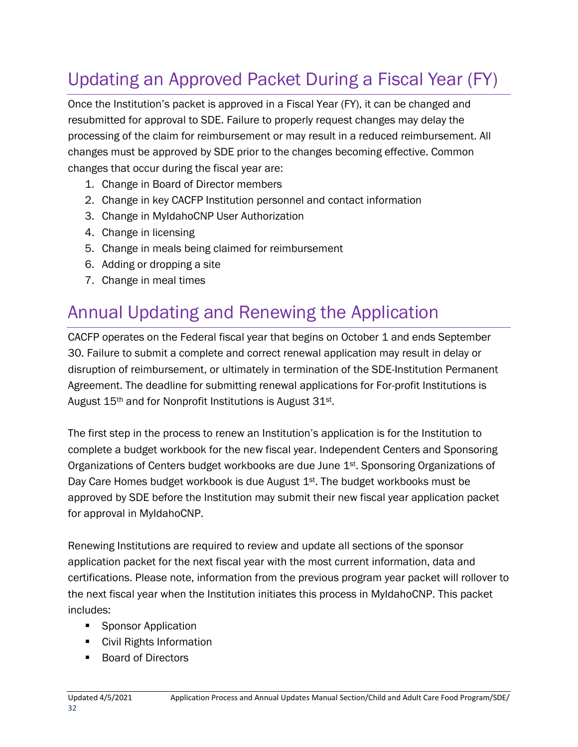## <span id="page-31-0"></span>Updating an Approved Packet During a Fiscal Year (FY)

Once the Institution's packet is approved in a Fiscal Year (FY), it can be changed and resubmitted for approval to SDE. Failure to properly request changes may delay the processing of the claim for reimbursement or may result in a reduced reimbursement. All changes must be approved by SDE prior to the changes becoming effective. Common changes that occur during the fiscal year are:

- 1. Change in Board of Director members
- 2. Change in key CACFP Institution personnel and contact information
- 3. Change in MyIdahoCNP User Authorization
- 4. Change in licensing
- 5. Change in meals being claimed for reimbursement
- 6. Adding or dropping a site
- 7. Change in meal times

## Annual Updating and Renewing the Application

CACFP operates on the Federal fiscal year that begins on October 1 and ends September 30. Failure to submit a complete and correct renewal application may result in delay or disruption of reimbursement, or ultimately in termination of the SDE-Institution Permanent Agreement. The deadline for submitting renewal applications for For-profit Institutions is August 15th and for Nonprofit Institutions is August 31st.

The first step in the process to renew an Institution's application is for the Institution to complete a budget workbook for the new fiscal year. Independent Centers and Sponsoring Organizations of Centers budget workbooks are due June 1<sup>st</sup>. Sponsoring Organizations of Day Care Homes budget workbook is due August 1<sup>st</sup>. The budget workbooks must be approved by SDE before the Institution may submit their new fiscal year application packet for approval in MyIdahoCNP.

Renewing Institutions are required to review and update all sections of the sponsor application packet for the next fiscal year with the most current information, data and certifications. Please note, information from the previous program year packet will rollover to the next fiscal year when the Institution initiates this process in MyIdahoCNP. This packet includes:

- **Sponsor Application**
- Civil Rights Information
- **Board of Directors**